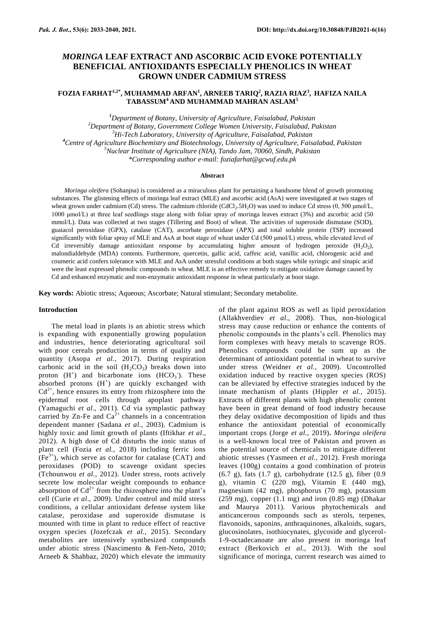# *MORINGA* **LEAF EXTRACT AND ASCORBIC ACID EVOKE POTENTIALLY BENEFICIAL ANTIOXIDANTS ESPECIALLY PHENOLICS IN WHEAT GROWN UNDER CADMIUM STRESS**

## **FOZIA FARHAT1,2\* , MUHAMMAD ARFAN<sup>1</sup> , ARNEEB TARIQ<sup>2</sup> , RAZIA RIAZ<sup>3</sup> , HAFIZA NAILA TABASSUM<sup>4</sup> AND MUHAMMAD MAHRAN ASLAM<sup>5</sup>**

*Department of Botany, University of Agriculture, Faisalabad, Pakistan Department of Botany, Government College Women University, Faisalabad, Pakistan Hi-Tech Laboratory, University of Agriculture, Faisalabad, Pakistan Centre of Agriculture Biochemistry and Biotechnology, University of Agriculture, Faisalabad, Pakistan Nuclear Institute of Agriculture (NIA), Tando Jam, 70060, Sindh, Pakistan \*Corresponding author e-mail: [foziafarhat@gcwuf.edu.pk](mailto:foziafarhat@gcwuf.edu.pk)*

### **Abstract**

*Moringa oleifera* (Sohanjna) is considered as a miraculous plant for pertaining a handsome blend of growth promoting substances. The glistening effects of moringa leaf extract (MLE) and ascorbic acid (AsA) were investigated at two stages of wheat grown under cadmium (Cd) stress. The cadmium chloride (CdCl<sub>2</sub>.5H<sub>2</sub>O) was used to induce Cd stress (0, 500 μmol/L, 1000 μmol/L) at three leaf seedlings stage along with foliar spray of moringa leaves extract (3%) and ascorbic acid (50 mmol/L). Data was collected at two stages (Tillering and Boot) of wheat. The activities of superoxide dismutase (SOD), guaiacol peroxidase (GPX), catalase (CAT), ascorbate peroxidase (APX) and total soluble protein (TSP) increased significantly with foliar spray of MLE and AsA at boot stage of wheat under Cd (500 μmol/L) stress, while elevated level of Cd irreversibly damage antioxidant response by accumulating higher amount of hydrogen peroxide  $(H_2O_2)$ , malondialdehyde (MDA) contents. Furthermore, quercetin, gallic acid, caffeic acid, vanillic acid, chlorogenic acid and coumeric acid confers tolerance with MLE and AsA under stressful conditions at both stages while syringic and sinapic acid were the least expressed phenolic compounds in wheat. MLE is an effective remedy to mitigate oxidative damage caused by Cd and enhanced enzymatic and non-enzymatic antioxidant response in wheat particularly at boot stage.

**Key words:** Abiotic stress; Aqueous; Ascorbate; Natural stimulant; Secondary metabolite.

### **Introduction**

The metal load in plants is an abiotic stress which is expanding with exponentially growing population and industries, hence deteriorating agricultural soil with poor cereals production in terms of quality and quantity (Asopa *et al.,* 2017). During respiration carbonic acid in the soil  $(H_2CO_3)$  breaks down into proton  $(H^+)$  and bicarbonate ions  $(HCO_3^-)$ . These absorbed protons  $(H^+)$  are quickly exchanged with  $Cd^{2+}$ , hence ensures its entry from rhizosphere into the epidermal root cells through apoplast pathway (Yamaguchi *et al*., 2011). Cd via symplastic pathway carried by Zn-Fe and  $Ca^{2+}$  channels in a concentration dependent manner (Sadana *et al*., 2003). Cadmium is highly toxic and limit growth of plants (Iftikhar *et al*., 2012). A high dose of Cd disturbs the ionic status of plant cell (Fozia *et al.,* 2018) including ferric ions  $(Fe<sup>3+</sup>)$ , which serve as cofactor for catalase (CAT) and peroxidases (POD) to scavenge oxidant species (Tchounwou *et al.,* 2012). Under stress, roots actively secrete low molecular weight compounds to enhance absorption of  $Cd^{2+}$  from the rhizosphere into the plant's cell (Curie *et al*., 2009). Under control and mild stress conditions, a cellular antioxidant defense system like catalase, peroxidase and superoxide dismutase is mounted with time in plant to reduce effect of reactive oxygen species (Jozefczak *et al.,* 2015). Secondary metabolites are intensively synthesized compounds under abiotic stress (Nascimento & Fett-Neto, [2010;](https://link.springer.com/article/10.1007/s11738-014-1526-8#ref-CR39) Arneeb & Shahbaz, 2020) which elevate the immunity

of the plant against ROS as well as lipid peroxidation (Allakhverdiev *et al*., [2008\)](https://link.springer.com/article/10.1007/s11738-014-1526-8#ref-CR1). Thus, non-biological stress may cause reduction or enhance the contents of phenolic compounds in the plants's cell. Phenolics may form complexes with heavy metals to scavenge ROS. Phenolics compounds could be sum up as the determinant of antioxidant potential in wheat to survive under stress (Weidner *et al.,* 2009). Uncontrolled oxidation induced by reactive oxygen species (ROS) can be alleviated by effective strategies induced by the innate mechanism of plants (Hippler *et al.,* 2015). Extracts of different plants with high phenolic content have been in great demand of food industry because they delay oxidative decomposition of lipids and thus enhance the antioxidant potential of economically important crops [\(Jorge](javascript:;) *et al*., 2019)**.** *Moringa oleifera*  is a well-known local tree of Pakistan and proven as the potential source of chemicals to mitigate different abiotic stresses (Yasmeen *et al.,* 2012). Fresh moringa leaves (100g) contains a good combination of protein (6.7 g), fats (1.7 g), carbohydrate (12.5 g), fiber (0.9 g), vitamin C (220 mg), Vitamin E (440 mg), magnesium (42 mg), phosphorus (70 mg), potassium (259 mg), copper (1.1 mg) and iron (0.85 mg) (Dhakar and Maurya 2011). Various phytochemicals and anticancerous compounds such as sterols, terpenes, flavonoids, saponins, [anthraquinones,](https://www.sciencedirect.com/topics/nursing-and-health-professions/anthraquinone-derivative) alkaloids, sugars, glucosinolates, isothiocynates, glycoside and glycerol-1-9-octadecanoate are also present in moringa leaf extract (Berkovich *et al.,* 2013). With the soul significance of moringa, current research was aimed to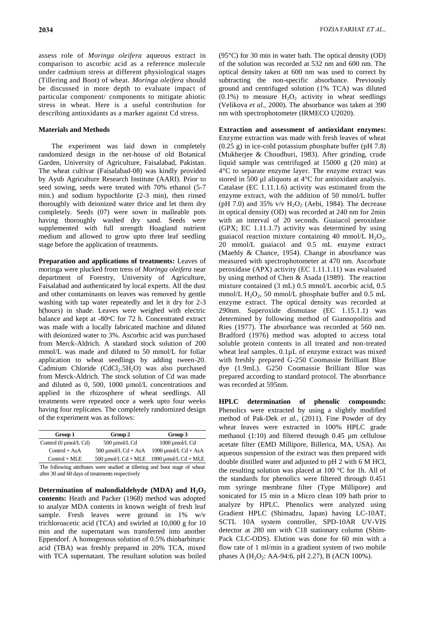**2034** FOZIA FARHAT *ET AL.,*

assess role of *Moringa oleifera* aqueous extract in comparison to ascorbic acid as a reference molecule under cadmium stress at different physiological stages (Tillering and Boot) of wheat. *Moringa oleifera* should be discussed in more depth to evaluate impact of particular component/ components to mitigate abiotic stress in wheat. Here is a useful contribution for describing antioxidants as a marker against Cd stress.

### **Materials and Methods**

The experiment was laid down in completely randomized design in the net-house of old Botanical Garden, University of Agriculture, Faisalabad, Pakistan. The wheat cultivar (Faisalabad-08) was kindly provided by Ayub Agriculture Research Institute (AARI). Prior to seed sowing, seeds were treated with 70% ethanol (5-7 min.) and sodium hypochlorite (2-3 min), then rinsed thoroughly with deionized water thrice and let them dry completely. Seeds (07) were sown in malleable pots having thoroughly washed dry sand. Seeds were supplemented with full strength Hoagland nutrient medium and allowed to grow upto three leaf seedling stage before the application of treatments.

**Preparation and applications of treatments:** Leaves of moringa were plucked from tress of *Moringa oleifera* near department of Forestry, University of Agriculture, Faisalabad and authenticated by local experts. All the dust and other contaminants on leaves was removed by gentle washing with tap water repeatedly and let it dry for 2-3 h(hours) in shade. Leaves were weighed with electric balance and kept at -80°C for 72 h. Concentrated extract was made with a locally fabricated machine and diluted with deionized water to 3%. Ascorbic acid was purchased from Merck-Aldrich. A standard stock solution of 200 mmol/L was made and diluted to 50 mmol/L for foliar application to wheat seedlings by adding tween-20. Cadmium Chloride  $(CdCl<sub>2</sub>.5H<sub>2</sub>O)$  was also purchased from Merck-Aldrich. The stock solution of Cd was made and diluted as 0, 500, 1000 µmol/L concentrations and applied in the rhizosphere of wheat seedlings. All treatments were repeated once a week upto four weeks having four replicates. The completely randomized design of the experiment was as follows:

| Group 1                           | Group 2                  | Group 3                                                                    |
|-----------------------------------|--------------------------|----------------------------------------------------------------------------|
| Control $(0 \mu \text{mol/L Cd})$ | 500 umol/L Cd            | 1000 umol/L Cd                                                             |
| $Control + AsA$                   | 500 $\mu$ mol/L Cd + AsA | 1000 $\mu$ mol/L Cd + AsA                                                  |
| $Control + MLE$                   |                          | 500 $\mu$ mol/L Cd + MLE 1000 $\mu$ mol/L Cd + MLE                         |
|                                   |                          | The following attributes were studied at tillering and boot stage of wheat |

after 30 and 60 days of treatments respectively

Determination of malondialdehyde (MDA) and  $H_2O_2$ **contents:** Heath and Packer (1968) method was adopted to analyze MDA contents in known weight of fresh leaf sample. Fresh leaves were ground in 1% w/v trichloroacetic acid (TCA) and swirled at 10,000 g for 10 min and the supernatant was transferred into another Eppendorf. A homogenous solution of 0.5% thiobarbituric acid (TBA) was freshly prepared in 20% TCA, mixed with TCA supernatant. The resultant solution was boiled (95°C) for 30 min in water bath. The optical density (OD) of the solution was recorded at 532 nm and 600 nm. The optical density taken at 600 nm was used to correct by subtracting the non-specific absorbance. Previously ground and centrifuged solution (1% TCA) was diluted  $(0.1\%)$  to measure  $H_2O_2$  activity in wheat seedlings (Velikova *et al.,* 2000). The absorbance was taken at 390 nm with spectrophotometer (IRMECO U2020).

**Extraction and assessment of antioxidant enzymes:**  Enzyme extraction was made with fresh leaves of wheat (0.25 g) in ice-cold potassium phosphate buffer (pH 7.8) (Mukherjee & Choudhuri, 1983). After grinding, crude liquid sample was centrifuged at 15000 g (20 min) at 4°C to separate enzyme layer. The enzyme extract was stored in 500 µl aliquots at 4<sup>o</sup>C for antioxidant analysis. Catalase (EC 1.11.1.6) activity was estimated from the enzyme extract, with the addition of 50 mmol/L buffer (pH 7.0) and 35% v/v  $H_2O_2$  (Aebi, 1984). The decrease in optical density (OD) was recorded at 240 nm for 2min with an interval of 20 seconds. Guaiacol peroxidase (GPX; EC 1.11.1.7) activity was determined by using guaiacol reaction mixture containing 40 mmol/L  $H_2O_2$ , 20 mmol/L guaiacol and 0.5 mL enzyme extract (Maehly & Chance, 1954). Change in abosrbance was measured with spectrophotometer at 470 nm. Ascorbate peroxidase (APX) activity (EC 1.11.1.11) was evaluated by using method of Chen & Asada (1989). The reaction mixture contained (3 mL) 0.5 mmol/L ascorbic acid, 0.5 mmol/L  $H_2O_2$ , 50 mmol/L phosphate buffer and 0.5 mL enzyme extract. The optical density was recorded at 290nm. Superoxide dismutase (EC 1.15.1.1) was determined by following method of Giannopolitis and Ries (1977). The absorbance was recorded at 560 nm. Bradford (1976) method was adopted to access total soluble protein contents in all treated and non-treated wheat leaf samples. 0.1µL of enzyme extract was mixed with freshly prepared G-250 Coomassie Brilliant Blue dye (1.9mL). G250 Coomassie Brilliant Blue was prepared according to standard protocol. The absorbance was recorded at 595nm.

**HPLC determination of phenolic compounds:**  Phenolics were extracted by using a slightly modified method of Pak-Dek *et al.,* (2011). Fine Powder of dry wheat leaves were extracted in 100% HPLC grade methanol (1:10) and filtered through 0.45 µm cellulose acetate filter (EMD Millipore, Billerica, MA, USA). An aqueous suspension of the extract was then prepared with double distilled water and adjusted to pH 2 with 6 M HCl, the resulting solution was placed at 100 °C for 1h. All of the standards for phenolics were filtered through 0.451 mm syringe membrane filter (Type Millipore) and sonicated for 15 min in a Micro clean 109 bath prior to analyze by HPLC. Phenolics were analyzed using Gradient HPLC (Shimadzu, Japan) having LC-10AT, SCTL 10A system controller, SPD-10AR UV-VIS detector at 280 nm with C18 stationary column (Shim-Pack CLC-ODS). Elution was done for 60 min with a flow rate of 1 ml/min in a gradient system of two mobile phases A  $(H_2O_2$ : AA-94:6, pH 2.27), B (ACN 100%).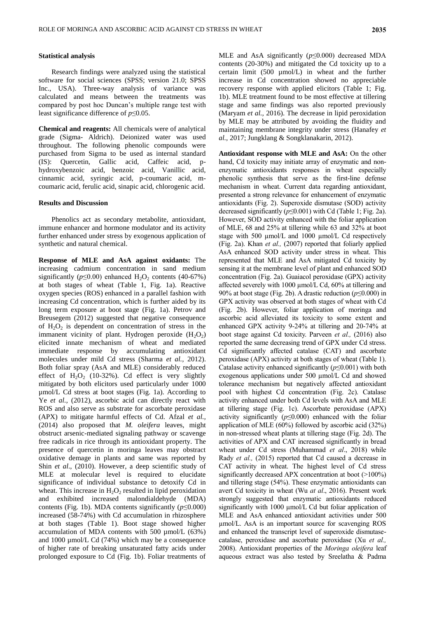### **Statistical analysis**

Research findings were analyzed using the statistical software for social sciences (SPSS; version 21.0; SPSS Inc., USA). Three-way analysis of variance was calculated and means between the treatments was compared by post hoc Duncan's multiple range test with least significance difference of *p*≤0.05.

**Chemical and reagents:** All chemicals were of analytical grade (Sigma- Aldrich). Deionized water was used throughout. The following phenolic compounds were purchased from Sigma to be used as internal standard (IS): Quercetin, Gallic acid, Caffeic acid, phydroxybenzoic acid, benzoic acid, Vanillic acid, cinnamic acid, syringic acid, p-coumaric acid, mcoumaric acid, ferulic acid, sinapic acid, chlorogenic acid.

### **Results and Discussion**

Phenolics act as secondary metabolite, antioxidant, immune enhancer and hormone modulator and its activity further enhanced under stress by exogenous application of synthetic and natural chemical.

**Response of MLE and AsA against oxidants:** The increasing cadmium concentration in sand medium significantly ( $p \le 0.00$ ) enhanced H<sub>2</sub>O<sub>2</sub> contents (40-67%) at both stages of wheat (Table 1, Fig. 1a). Reactive oxygen species (ROS) enhanced in a parallel fashion with increasing Cd concentration, which is further aided by its long term exposure at boot stage (Fig. 1a). Petrov and Breusegem (2012) suggested that negative consequence of  $H_2O_2$  is dependent on concentration of stress in the immanent vicinity of plant. Hydrogen peroxide  $(H_2O_2)$ elicited innate mechanism of wheat and mediated immediate response by accumulating antioxidant molecules under mild Cd stress (Sharma *et al.,* 2012). Both foliar spray (AsA and MLE) considerably reduced effect of  $H_2O_2$  (10-32%). Cd effect is very slightly mitigated by both elicitors used particularly under 1000 µmol/L Cd stress at boot stages (Fig. 1a). According to Ye *et al.*, (2012), ascorbic acid can directly react with ROS and also serve as substrate for ascorbate peroxidase (APX) to mitigate harmful effects of Cd. Afzal *et al.,* (2014) also proposed that *M. oleifera* leaves, might obstruct arsenic-mediated signaling pathway or scavenge free radicals in rice through its antioxidant property. The presence of quercetin in moringa leaves may obstract oxidative demage in plants and same was reported by Shin *et al*., (2010). However, a deep scientific study of MLE at molecular level is required to elucidate significance of individual substance to detoxify Cd in wheat. This increase in  $H_2O_2$  resulted in lipid peroxidation and exhibited increased malondialdehyde (MDA) contents (Fig. 1b). MDA contents significantly  $(p \le 0.000)$ increased (58-74%) with Cd accumulation in rhizosphere at both stages (Table 1). Boot stage showed higher accumulation of MDA contents with 500 µmol/L (63%) and 1000 µmol/L Cd (74%) which may be a consequence of higher rate of breaking unsaturated fatty acids under prolonged exposure to Cd (Fig. 1b). Foliar treatments of MLE and AsA significantly (*p*≤0.000) decreased MDA contents (20-30%) and mitigated the Cd toxicity up to a certain limit (500 µmol/L) in wheat and the further increase in Cd concentration showed no appreciable recovery response with applied elicitors (Table 1; Fig. 1b). MLE treatment found to be most effective at tillering stage and same findings was also reported previously (Maryam *et al.,* 2016). The decrease in lipid peroxidation by MLE may be attributed by avoiding the fluidity and maintaining membrane integrity under stress (Hanafey *et al.,* 2017; Jungklang & Songklanakarin, 2012).

**Antioxidant response with MLE and AsA:** On the other hand, Cd toxicity may initiate array of enzymatic and nonenzymatic antioxidants responses in wheat especially phenolic synthesis that serve as the first-line defense mechanism in wheat. Current data regarding antioxidant, presented a strong relevance for enhancement of enzymatic antioxidants (Fig. 2). Superoxide dismutase (SOD) activity decreased significantly (*p*≤0.001) with Cd (Table 1; Fig. 2a). However, SOD activity enhanced with the foliar application of MLE, 68 and 25% at tillering while 63 and 32% at boot stage with 500 µmol/L and 1000 µmol/L Cd respectively (Fig. 2a). Khan *et al.,* (2007) reported that foliarly applied AsA enhanced SOD activity under stress in wheat. This represented that MLE and AsA mitigated Cd toxicity by sensing it at the membrane level of plant and enhanced SOD concentration (Fig. 2a). Guaiacol peroxidase (GPX) activity affected severely with 1000 µmol/L Cd, 60% at tillering and 90% at boot stage (Fig. 2b). A drastic reduction (*p*≤0.000) in GPX activity was observed at both stages of wheat with Cd (Fig. 2b). However, foliar application of moringa and ascorbic acid alleviated its toxicity to some extent and enhanced GPX activity 9-24% at tillering and 20-74% at boot stage against Cd toxicity. Parveen *et al.,* (2016) also reported the same decreasing trend of GPX under Cd stress. Cd significantly affected catalase (CAT) and ascorbate peroxidase (APX) activity at both stages of wheat (Table 1). Catalase activity enhanced significantly (*p*≤0.001) with both exogenous applications under 500 µmol/L Cd and showed tolerance mechanism but negatively affected antioxidant pool with highest Cd concentration (Fig. 2c). Catalase activity enhanced under both Cd levels with AsA and MLE at tillering stage (Fig. 1c). Ascorbate peroxidase (APX) activity significantly (*p*≤0.000) enhanced with the foliar application of MLE (60%) followed by ascorbic acid (32%) in non-stressed wheat plants at tillering stage (Fig. 2d). The activities of APX and CAT increased significantly in bread wheat under Cd stress (Muhammad *et al*., 2018) while Rady *et al.,* (2015) reported that Cd caused a decrease in CAT activity in wheat. The highest level of Cd stress significantly decreased APX concentration at boot (>100%) and tillering stage (54%). These enzymatic antioxidants can avert Cd toxicity in wheat (Wu *at al*., 2016). Present work strongly suggested that enzymatic antioxidants reduced significantly with 1000 µmol/L Cd but foliar application of MLE and AsA enhanced antioxidant activities under 500 µmol/L. AsA is an important source for scavenging ROS and enhanced the transcript level of superoxide dismutasecatalase, peroxidase and ascorbate peroxidase (Xu *et al.,* 2008). Antioxidant properties of the *Moringa oleifera* leaf aqueous extract was also tested by [Sreelatha &](https://www.ncbi.nlm.nih.gov/pubmed/?term=Sreelatha%20S%5BAuthor%5D&cauthor=true&cauthor_uid=19904611) [Padma](https://www.ncbi.nlm.nih.gov/pubmed/?term=Padma%20PR%5BAuthor%5D&cauthor=true&cauthor_uid=19904611)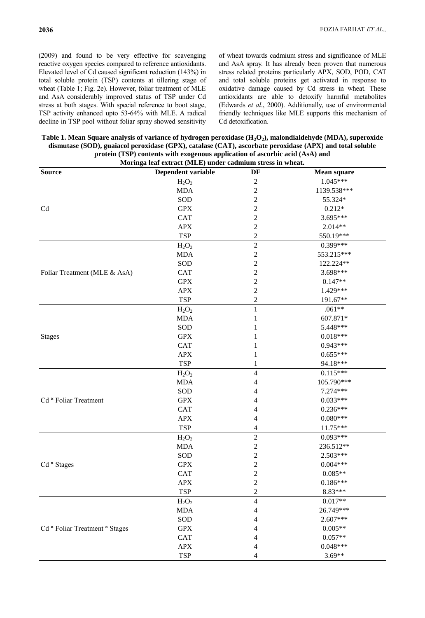(2009) and found to be very effective for scavenging reactive oxygen species compared to reference antioxidants. Elevated level of Cd caused significant reduction (143%) in total soluble protein (TSP) contents at tillering stage of wheat (Table 1; Fig. 2e). However, foliar treatment of MLE and AsA considerably improved status of TSP under Cd stress at both stages. With special reference to boot stage, TSP activity enhanced upto 53-64% with MLE. A radical decline in TSP pool without foliar spray showed sensitivity

of wheat towards cadmium stress and significance of MLE and AsA spray. It has already been proven that numerous stress related proteins particularly APX, SOD, POD, CAT and total soluble proteins get activated in response to oxidative damage caused by Cd stress in wheat. These antioxidants are able to detoxify harmful metabolites (Edwards *et al*., [2000\)](https://www.ncbi.nlm.nih.gov/pmc/articles/PMC4259124/#B44). Additionally, use of environmental friendly techniques like MLE supports this mechanism of Cd detoxification.

**Table 1. Mean Square analysis of variance of hydrogen peroxidase (H2O2), malondialdehyde (MDA), superoxide dismutase (SOD), guaiacol peroxidase (GPX), catalase (CAT), ascorbate peroxidase (APX) and total soluble protein (TSP) contents with exogenous application of ascorbic acid (AsA) and** 

|                                | Moringa leaf extract (MLE) under cadmium stress in wheat. |                         |                    |
|--------------------------------|-----------------------------------------------------------|-------------------------|--------------------|
| <b>Source</b>                  | Dependent variable                                        | DF                      | <b>Mean square</b> |
|                                | $H_2O_2$                                                  | $\overline{2}$          | $1.045***$         |
|                                | <b>MDA</b>                                                | $\overline{\mathbf{c}}$ | 1139.538***        |
|                                | SOD                                                       | $\overline{c}$          | 55.324*            |
| Cd                             | <b>GPX</b>                                                | $\overline{c}$          | $0.212*$           |
|                                | <b>CAT</b>                                                | $\overline{c}$          | 3.695***           |
|                                | <b>APX</b>                                                | $\overline{\mathbf{c}}$ | $2.014**$          |
|                                | <b>TSP</b>                                                | $\overline{c}$          | 550.19***          |
|                                | $H_2O_2$                                                  | $\overline{2}$          | $0.399***$         |
|                                | <b>MDA</b>                                                | $\sqrt{2}$              | 553.215***         |
|                                | SOD                                                       | $\overline{\mathbf{c}}$ | 122.224**          |
| Foliar Treatment (MLE & AsA)   | <b>CAT</b>                                                | $\overline{c}$          | 3.698***           |
|                                | <b>GPX</b>                                                | $\sqrt{2}$              | $0.147**$          |
|                                | APX                                                       | $\overline{c}$          | 1.429***           |
|                                | <b>TSP</b>                                                | $\overline{c}$          | 191.67**           |
|                                | $H_2O_2$                                                  | $\mathbf{1}$            | $.061**$           |
|                                | <b>MDA</b>                                                | 1                       | 607.871*           |
|                                | SOD                                                       | 1                       | 5.448***           |
| <b>Stages</b>                  | <b>GPX</b>                                                | 1                       | $0.018***$         |
|                                | <b>CAT</b>                                                | 1                       | $0.943***$         |
|                                | <b>APX</b>                                                | 1                       | $0.655***$         |
|                                | <b>TSP</b>                                                | 1                       | 94.18***           |
|                                | $H_2O_2$                                                  | $\overline{4}$          | $0.115***$         |
|                                | <b>MDA</b>                                                | 4                       | 105.790***         |
|                                | SOD                                                       | 4                       | 7.274***           |
| Cd * Foliar Treatment          | <b>GPX</b>                                                | 4                       | $0.033***$         |
|                                | <b>CAT</b>                                                | 4                       | $0.236***$         |
|                                | <b>APX</b>                                                | 4                       | $0.080***$         |
|                                | <b>TSP</b>                                                | 4                       | $11.75***$         |
|                                | $H_2O_2$                                                  | $\sqrt{2}$              | $0.093***$         |
|                                | <b>MDA</b>                                                | $\sqrt{2}$              | 236.512**          |
|                                | SOD                                                       | $\overline{c}$          | 2.503***           |
| Cd × Stages                    | <b>GPX</b>                                                | $\overline{c}$          | $0.004***$         |
|                                | <b>CAT</b>                                                | $\overline{2}$          | $0.085**$          |
|                                | APX                                                       | $\boldsymbol{2}$        | $0.186***$         |
|                                | <b>TSP</b>                                                | $\overline{c}$          | $8.83***$          |
|                                | $H_2O_2$                                                  | $\overline{4}$          | $0.017**$          |
|                                | <b>MDA</b>                                                | 4                       | 26.749***          |
|                                | SOD                                                       | 4                       | 2.607***           |
| Cd × Foliar Treatment × Stages | <b>GPX</b>                                                | 4                       | $0.005**$          |
|                                | <b>CAT</b>                                                | 4                       | $0.057**$          |
|                                | APX                                                       | 4                       | $0.048***$         |
|                                | <b>TSP</b>                                                | 4                       | $3.69**$           |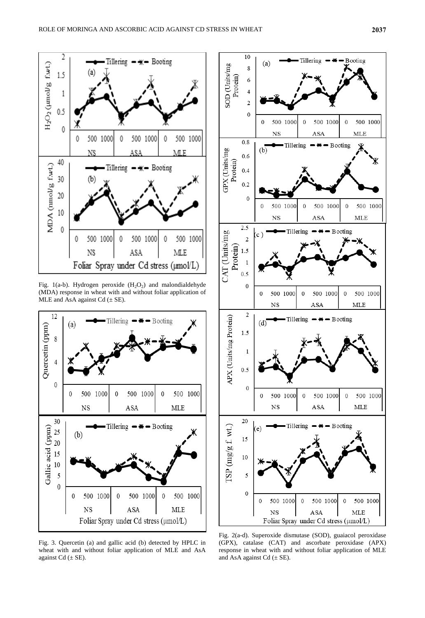

Fig. 1(a-b). Hydrogen peroxide  $(H_2O_2)$  and malondialdehyde (MDA) response in wheat with and without foliar application of MLE and AsA against  $Cd \ (\pm SE)$ .



Fig. 3. Quercetin (a) and gallic acid (b) detected by HPLC in wheat with and without foliar application of MLE and AsA against  $Cd \ (\pm SE)$ .



Fig. 2(a-d). Superoxide dismutase (SOD), guaiacol peroxidase (GPX), catalase (CAT) and ascorbate peroxidase (APX) response in wheat with and without foliar application of MLE and AsA against Cd  $(\pm$  SE).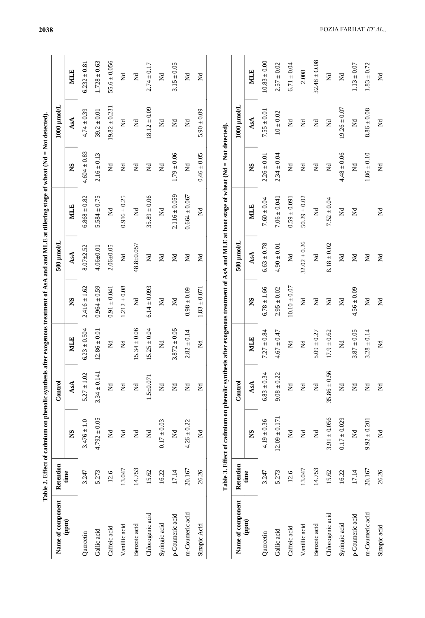|                              |           | Table 2. Effect of cadmium on phenolic synthesis after exogenous treatment of AsA and and MLE at tillering stage of wheat $Nd = Not$ detected). |                      |                  |                      |                      |                                                                                             |                            |                            |                      |
|------------------------------|-----------|-------------------------------------------------------------------------------------------------------------------------------------------------|----------------------|------------------|----------------------|----------------------|---------------------------------------------------------------------------------------------|----------------------------|----------------------------|----------------------|
| Name of component            | Retention |                                                                                                                                                 | Control              |                  |                      | $500 \mu$ mol/L      |                                                                                             |                            | 1000 µmol/L                |                      |
| (ppm)                        | time      | SN                                                                                                                                              | AsA                  | <b>MLE</b>       | SN                   | AsA                  | <b>NILE</b>                                                                                 | SN                         | AsA                        | <b>MLE</b>           |
| Quercetin                    | 3.247     | $3.476 \pm 1.0$                                                                                                                                 | $5.27 \pm 1.02$      | $6.23 \pm 0.504$ | $2.416 \pm 1.62$     | $8.07 + 2.52$        | $6.868 \pm 0.82$                                                                            | $4.604 \pm 0.83$           | $4.74 \pm 0.39$            | $6.232 \pm 0.81$     |
| Gallic acid                  | 5.273     | $4.792 \pm 0.05$                                                                                                                                | $3.34 \pm 0.14$      | $12.86 \pm 0.01$ | $0.964 \pm 0.59$     | $4.06 + 0.01$        | $5.584 \pm 0.75$                                                                            | $2.16 \pm 0.13$            | $39.2 \pm 0.01$            | $1.728 \pm 0.63$     |
| Caffeic acid                 | 12.6      | $\rm \Xi$                                                                                                                                       | $\mathbf{\tilde{z}}$ | $\rm \Xi$        | $0.91 \pm 0.041$     | $2.06 + 0.05$        | $\rm \Xi$                                                                                   | $\rm \Xi$                  | $19.82 \pm 0.23$           | $55.6 \pm 0.056$     |
| Vanillic acid                | 13.047    | $\Xi$                                                                                                                                           | $\mathbf{z}$         | $\Xi$            | $1.212 \pm 0.08$     | $\mathsf{X}$         | $0.916 \pm 0.25$                                                                            | $\mathbf{\tilde{z}}$       | $\rm \Xi$                  | $\Xi$                |
| Benzoic acid                 | 14.753    | $\mathbf{\tilde{z}}$                                                                                                                            | $\rm \Xi$            | $15.34 \pm 0.06$ | $\rm \Xi$            | 48.8±0.057           | $\rm \Xi$                                                                                   | $\mathbbmss{Z}$            | $\mathbf{\tilde{z}}$       | $\rm \Xi$            |
| Chlorogenic acid             | 15.62     | $\Xi$                                                                                                                                           | $1.5 \pm 0.071$      | $15.25 \pm 0.04$ | $6.14 \pm 0.093$     | $\rm \Xi$            | $35.89 \pm 0.06$                                                                            | $\rm \Xi$                  | $18.12 \pm 0.09$           | $2.74 \pm 0.17$      |
| Syringic acid                | 16.22     | $0.17 \pm 0.03$                                                                                                                                 | $\rm \Xi$            | $\rm \Xi$        | $\rm \Xi$            | $\rm \Xi$            | $\rm \Xi$                                                                                   | $\rm \stackrel{d}{\simeq}$ | $\rm \Xi$                  | $\Xi$                |
| p-Coumeric acid              | 17.14     | $\rm \Xi$                                                                                                                                       | $\rm \Xi$            | $3.872 \pm 0.05$ | $\rm \Xi$            | $\mathbbmss{Z}$      | $2.116 \pm 0.059$                                                                           | $1.79 \pm 0.06$            | $\rm \stackrel{d}{\simeq}$ | $3.15 \pm 0.05$      |
| m-Coumeric acid              | 20.167    | $4.26 \pm 0.22$                                                                                                                                 | $\mathbf{\tilde{z}}$ | $2.82 \pm 0.14$  | $0.98 \pm 0.09$      | $\mathbf{\tilde{z}}$ | $0.664 \pm 0.067$                                                                           | $\rm \Xi$                  | $\rm \Xi$                  | $\rm \Xi$            |
| Sinapic Acid                 | 26.26     | $\Xi$                                                                                                                                           | $\rm \Xi$            | $\mathbbmss{Z}$  | $1.83 \pm 0.071$     | $\mathbbmss{Z}$      | $\mathsf{\Xi}$                                                                              | $0.46 \pm 0.05$            | $5.90 \pm 0.09$            | $\mathbf{\tilde{z}}$ |
|                              |           | Table 3. Effect of cadmium on phenolic synt                                                                                                     |                      |                  |                      |                      | thesis after exogenous treatment of AsA and MLE at boot stage of wheat (Nd = Not detected). |                            |                            |                      |
| Name of component            | Retention |                                                                                                                                                 | Control              |                  |                      | 500 µmol/L           |                                                                                             |                            | $1000$ $\mu$ mol/L         |                      |
| $\left( \mathbf{map}\right)$ | time      | SN                                                                                                                                              | AsA                  | <b>MILE</b>      | SN                   | AsA                  | MLE                                                                                         | SN                         | AsA                        | <b>MILE</b>          |
| Quercetin                    | 3.247     | $4.19 \pm 0.36$                                                                                                                                 | $6.83 \pm 0.34$      | $7.27 \pm 0.84$  | $6.78 \pm 1.66$      | $6.63 \pm 0.78$      | $7.60 \pm 0.04$                                                                             | $2.26 \pm 0.01$            | $7.55 \pm 0.01$            | $10.83 \pm 0.00$     |
| Gallic acid                  | 5.273     | $12.09 \pm 0.171$                                                                                                                               | $9.08 \pm 0.22$      | $4.67 \pm 0.47$  | $2.95 \pm 0.02$      | $4.90 \pm 0.01$      | $7.06 \pm 0.041$                                                                            | $2.34 \pm 0.04$            | $10 \pm 0.02$              | $2.57 \pm 0.02$      |
| Caffeic acid                 | 12.6      | $\rm \Xi$                                                                                                                                       | $\rm \Xi$            | $\rm \Xi$        | $10.10 \pm 0.07$     | $\mathbf{\tilde{z}}$ | $0.59 \pm 0.091$                                                                            | $\rm \Xi$                  | $\rm \Xi$                  | $6.71 \pm 0.04$      |
| Vanillic acid                | 13.047    | $\Xi$                                                                                                                                           | $\rm \Xi$            | $\rm \Xi$        | $\mathbbmss{Z}$      | $32.02 \pm 0.26$     | $50.29 \pm 0.02$                                                                            | $\mathbbmss{Z}$            | $\mathbbmss{Z}$            | 2.008                |
| Benzoic acid                 | 14.753    | $\rm \Xi$                                                                                                                                       | $\mathbf{\tilde{z}}$ | $5.09 \pm 0.27$  | $\mathbf{\tilde{z}}$ | $\rm \Xi$            | $\mathbf{\tilde{z}}$                                                                        | $\rm \Xi$                  | $\mathbf{\tilde{z}}$       | $32.48 \pm 0.08$     |
| Chlorogenic acid             | 15.62     | $3.91 \pm 0.056$                                                                                                                                | $35.86 \pm 0.56$     | $17.9 \pm 0.62$  | $\mathbf{\tilde{z}}$ | $8.18 \pm 0.02$      | $7.52 \pm 0.04$                                                                             | $\mathbf{\tilde{z}}$       | $\mathbf{\tilde{z}}$       | $\rm \Xi$            |
| Syringic acid                | 16.22     | $0.17 \pm 0.029$                                                                                                                                | $\mathbf{\tilde{z}}$ | $\rm \Xi$        | $\rm \Xi$            | $\mathbf{\tilde{z}}$ | $\mathbf{\tilde{z}}$                                                                        | $4.48 \pm 0.06$            | $19.26 \pm 0.07$           | $\mathsf{z}$         |
| p-Coumeric acid              | 17.14     | $\mathbf{\tilde{z}}$                                                                                                                            | $\rm \Xi$            | $3.87 \pm 0.05$  | $4.56 \pm 0.09$      | $\rm \Xi$            | $\Xi$                                                                                       | $\rm \Xi$                  | $\rm \Xi$                  | $1.13 \pm 0.07$      |
| m-Coumeric acid              | 20.167    | $9.92 \pm 0.201$                                                                                                                                | $\mathbbmss{Z}$      | $3.28 \pm 0.14$  | $\mathbf{\tilde{z}}$ | $\mathbbmss{Z}$      |                                                                                             | $1.86 \pm 0.10$            | $8.86 \pm 0.08$            | $1.83 \pm 0.72$      |
| Sinapic acid                 | 26.26     | $\Xi$                                                                                                                                           | $\rm \Xi$            | $\rm \Xi$        | $\rm \Xi$            | $\rm \Xi$            | $\rm \Xi$                                                                                   | $\rm \Xi$                  | $\rm \Xi$                  | $\rm \Xi$            |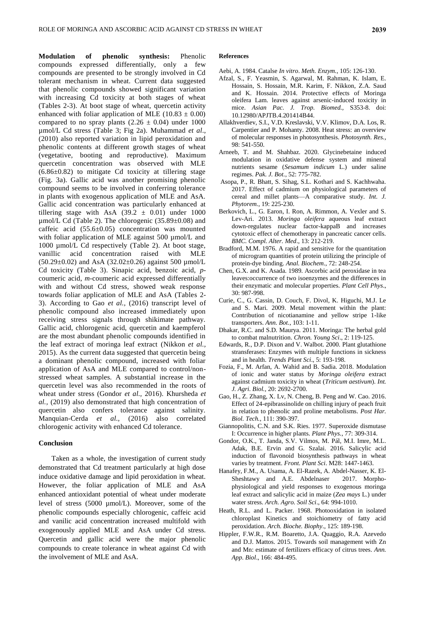**Modulation of phenolic synthesis:** Phenolic compounds expressed differentially, only a few compounds are presented to be strongly involved in Cd tolerant mechanism in wheat. Current data suggested that phenolic compounds showed significant variation with increasing Cd toxicity at both stages of wheat (Tables 2-3). At boot stage of wheat, quercetin activity enhanced with foliar application of MLE (10.83  $\pm$  0.00) compared to no spray plants  $(2.26 \pm 0.04)$  under 1000 µmol/L Cd stress (Table 3; Fig 2a). Muhammad *et al*., (2010) also reported variation in lipid peroxidation and phenolic contents at different growth stages of wheat (vegetative, booting and reproductive). Maximum quercetin concentration was observed with MLE (6.86±0.82) to mitigate Cd toxicity at tillering stage (Fig. 3a). Gallic acid was another promising phenolic compound seems to be involved in conferring tolerance in plants with exogenous application of MLE and AsA. Gallic acid concentration was particularly enhanced at tillering stage with AsA  $(39.2 \pm 0.01)$  under 1000 µmol/L Cd (Table 2). The chlorogenic (35.89±0.08) and caffeic acid (55.6±0.05) concentration was mounted with foliar application of MLE against 500 µmol/L and 1000 µmol/L Cd respectively (Table 2). At boot stage, vanillic acid concentration raised with MLE  $(50.29 \pm 0.02)$  and AsA  $(32.02 \pm 0.26)$  against 500 µmol/L Cd toxicity (Table 3). Sinapic acid, benzoic acid, *p*coumeric acid, *m-*coumeric acid expressed differentially with and without Cd stress, showed weak response towards foliar application of MLE and AsA (Tables 2- 3). According to Gao *et al.,* (2016) transcript level of phenolic compound also increased immediately upon receiving stress signals through shikimate pathway. Gallic acid, chlorogenic acid, quercetin and kaempferol are the most abundant phenolic compounds identified in the leaf extract of moringa leaf extract (Nikkon *et al.,* 2015). As the current data suggested that quercetin being a dominant phenolic compound, increased with foliar application of AsA and MLE compared to control/nonstressed wheat samples. A substantial increase in the quercetin level was also recommended in the roots of wheat under stress (Gondor *et al.,* 2016). Khursheda *et al.,* (2019) also demonstrated that high concentration of quercetin also confers tolerance against salinity. Manquian-Cerda *et al.,* (2016) also correlated chlorogenic activity with enhanced Cd tolerance.

### **Conclusion**

Taken as a whole, the investigation of current study demonstrated that Cd treatment particularly at high dose induce oxidative damage and lipid peroxidation in wheat. However, the foliar application of MLE and AsA enhanced antioxidant potential of wheat under moderate level of stress (5000 µmol/L). Moreover, some of the phenolic compounds especially chlorogenic, caffeic acid and vanilic acid concentration increased multifold with exogenously applied MLE and AsA under Cd stress. Quercetin and gallic acid were the major phenolic compounds to create tolerance in wheat against Cd with the involvement of MLE and AsA.

### **References**

- Aebi, A. 1984. Catalse *In vitro*. *Meth. Enzym.*, 105: 126-130.
- [Afzal, S.,](https://pubmed.ncbi.nlm.nih.gov/?term=Sheikh+A&cauthor_id=25183111) [F. Yeasmin,](https://pubmed.ncbi.nlm.nih.gov/?term=Yeasmin+F&cauthor_id=25183111) [S. Agarwal,](https://pubmed.ncbi.nlm.nih.gov/?term=Agarwal+S&cauthor_id=25183111) [M. Rahman,](https://pubmed.ncbi.nlm.nih.gov/?term=Rahman+M&cauthor_id=25183111) [K. Islam,](https://pubmed.ncbi.nlm.nih.gov/?term=Islam+K&cauthor_id=25183111) [E.](https://pubmed.ncbi.nlm.nih.gov/?term=Hossain+E&cauthor_id=25183111)  [Hossain,](https://pubmed.ncbi.nlm.nih.gov/?term=Hossain+E&cauthor_id=25183111) [S. Hossain,](https://pubmed.ncbi.nlm.nih.gov/?term=Hossain+S&cauthor_id=25183111) [M.R. Karim,](https://pubmed.ncbi.nlm.nih.gov/?term=Karim+MR&cauthor_id=25183111) [F. Nikkon,](https://pubmed.ncbi.nlm.nih.gov/?term=Nikkon+F&cauthor_id=25183111) [Z.A. Saud](https://pubmed.ncbi.nlm.nih.gov/?term=Saud+ZA&cauthor_id=25183111) and [K. Hossain.](https://pubmed.ncbi.nlm.nih.gov/?term=Hossain+K&cauthor_id=25183111) 2014. Protective effects of Moringa oleifera Lam. leaves against arsenic-induced toxicity in mice. *Asian Pac. J. Trop. Biomed.,* S353-8. doi: 10.12980/APJTB.4.201414B44.
- Allakhverdiev, S.I., V.D. Kreslavski, V.V. Klimov, D.A. Los, R. Carpentier and P. Mohanty. 2008. Heat stress: an overview of molecular responses in photosynthesis. *Photosynth. Res.,* 98: 541-550.
- Arneeb, T. and M. Shahbaz. 2020. [Glycinebetaine](http://pakbs.org/pjbot/papers/1585436223.pdf) induced [modulation in oxidative defense system and mineral](http://pakbs.org/pjbot/papers/1585436223.pdf)  [nutrients sesame \(](http://pakbs.org/pjbot/papers/1585436223.pdf)*Sesamum indicum* L.) under saline [regimes.](http://pakbs.org/pjbot/papers/1585436223.pdf) *Pak. J. Bot.*, 52: 775-782.
- Asopa, P., R. Bhatt, S. Sihag, S.L. Kothari and S. Kachhwaha. 2017. Effect of cadmium on physiological parameters of cereal and millet plants—A comparative study. *Int. J. Phytorem.*, 19: 225-230.
- Berkovich, L., G. Earon, I. Ron, A. Rimmon, A. Vexler and S. Lev-Ari. 2013. *Moringa oleifera* aqueous leaf extract down-regulates nuclear factor-kappaB and increases cytotoxic effect of chemotherapy in pancreatic cancer cells. *BMC. Compl. Alter. Med*., 13: 212-219.
- Bradford, M.M. 1976. A rapid and sensitive for the quantitation of microgram quantities of protein utilizing the principle of protein-dye binding. *Anal. Biochem*., 72: 248-254.
- Chen, G.X. and K. Asada. 1989. Ascorbic acid peroxidase in tea leaves:occurrence of two isoenzymes and the differences in their enzymatic and molecular properties. *Plant Cell Phys*., 30: 987-998.
- Curie, C., G. Cassin, D. Couch, F. Divol, K. Higuchi, M.J. Le and S. Mari. 2009. Metal movement within the plant: Contribution of nicotianamine and yellow stripe 1-like transporters. *Ann. Bot.*, 103: 1-11.
- Dhakar, R.C. and S.D. Maurya. 2011. Moringa: The herbal gold to combat malnutrition. *Chron. Young Sci*., 2: 119-125.
- Edwards, R., D.P. Dixon and V. Walbot. 2000. Plant glutathione stransferases: Enzymes with multiple functions in sickness and in health. *Trends Plant Sci*., 5: 193-198.
- Fozia, F., M. Arfan, A. Wahid and B. Sadia. 2018. [Modulation](javascript:void(0))  [of ionic and water status by](javascript:void(0)) *Moringa oleifera* extract [against cadmium toxicity in wheat \(](javascript:void(0))*Triticum aestivum*). *Int. J. Agri. Biol.,* 20: 2692-2700.
- Gao, H., Z. Zhang, X. Lv, N. Cheng, B. Peng and W. Cao. 2016. Effect of 24-epibrassinolide on chilling injury of peach fruit in relation to phenolic and proline metabolisms. *Post Har. Biol. Tech.*, 111: 390-397.
- Giannopolitis, C.N. and S.K. Ries. 1977. Superoxide dismutase I: Occurrence in higher plants. *Plant Phys.*, 77: 309-314.
- Gondor, O.K., T. [Janda,](http://frontiersin.org/people/u/365815) S.V. [Vilmos,](http://frontiersin.org/people/u/376680) M. [Pál,](http://frontiersin.org/people/u/324631) M.I. Imre, M.L. Adak, B.E. Ervin and G. [Szalai.](http://frontiersin.org/people/u/365844) 2016. Salicylic acid induction of flavonoid biosynthesis pathways in wheat varies by treatment. *Front. Plant Sci*. M28: 1447-1463.
- [Hanafey, F](https://www.tandfonline.com/author/Maswada%2C+Hanafey+F).M., A. [Usama, A. El-Razek,](https://www.tandfonline.com/author/Abd+El-Razek%2C+Usama+A) A. [Abdel-Nasser, K. El-](https://www.tandfonline.com/author/El-Sheshtawy%2C+Abdel-Nasser+A)[Sheshtawy](https://www.tandfonline.com/author/El-Sheshtawy%2C+Abdel-Nasser+A) and A.E. [Abdelnaser](https://www.tandfonline.com/author/Elzaawely%2C+Abdelnaser+A) 2017. Morphophysiological and yield responses to exogenous moringa leaf extract and salicylic acid in maize (*Zea mays* L.) under water stress. *Arch. Agro. Soil Sci*., 64: 994-1010.
- Heath, R.L. and L. Packer. 1968. Photooxidation in isolated chloroplast Kinetics and stoichiometry of fatty acid peroxidation. *Arch. Bioche. Biophy*., 125: 189-198.
- Hippler, F.W.R., R.M. Boaretto, J.A. Quaggio, R.A. Azevedo and D.J. Mattos. 2015. Towards soil management with Zn and Mn: estimate of fertilizers efficacy of citrus trees. *Ann. App. Biol*., 166: 484-495.